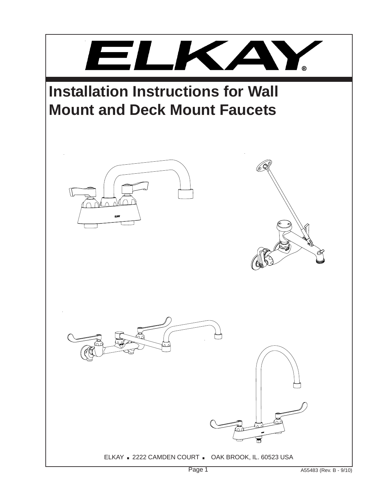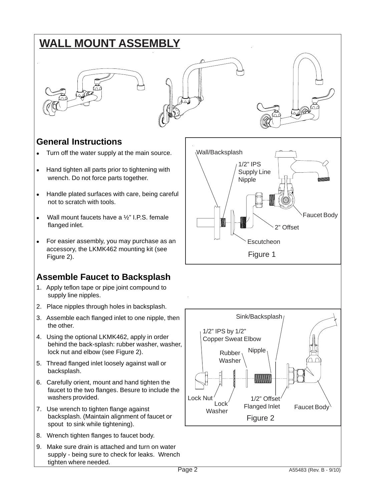## **WALL MOUNT ASSEMBLY**







#### **General Instructions**

- Turn off the water supply at the main source.
- Hand tighten all parts prior to tightening with wrench. Do not force parts together.
- Handle plated surfaces with care, being careful not to scratch with tools.
- Wall mount faucets have a  $\frac{1}{2}$ " I.P.S. female flanged inlet.
- For easier assembly, you may purchase as an accessory, the LKMK462 mounting kit (see Figure 2).

#### **Assemble Faucet to Backsplash**

- 1. Apply teflon tape or pipe joint compound to supply line nipples.
- 2. Place nipples through holes in backsplash.
- 3. Assemble each flanged inlet to one nipple, then the other.
- 4. Using the optional LKMK462, apply in order behind the back-splash: rubber washer, washer, lock nut and elbow (see Figure 2).
- 5. Thread flanged inlet loosely against wall or backsplash.
- 6. Carefully orient, mount and hand tighten the faucet to the two flanges. Besure to include the washers provided.
- 7. Use wrench to tighten flange against backsplash. (Maintain alignment of faucet or spout to sink while tightening).
- 8. Wrench tighten flanges to faucet body.
- 9. Make sure drain is attached and turn on water supply - being sure to check for leaks. Wrench tighten where needed.

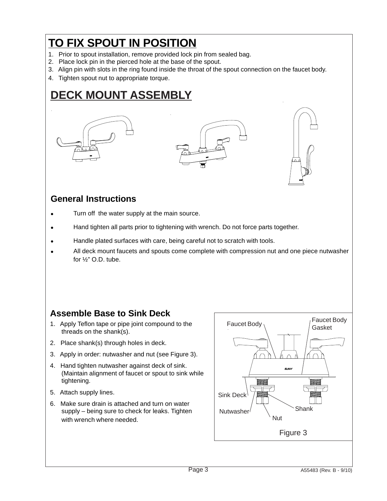## **TO FIX SPOUT IN POSITION**

- 1. Prior to spout installation, remove provided lock pin from sealed bag.
- 2. Place lock pin in the pierced hole at the base of the spout.
- 3. Align pin with slots in the ring found inside the throat of the spout connection on the faucet body.
- 4. Tighten spout nut to appropriate torque.

## **DECK MOUNT ASSEMBLY**







#### **General Instructions**

- Turn off the water supply at the main source.
- Hand tighten all parts prior to tightening with wrench. Do not force parts together.
- Handle plated surfaces with care, being careful not to scratch with tools.
- All deck mount faucets and spouts come complete with compression nut and one piece nutwasher for  $\frac{1}{2}$ " O.D. tube.

#### **Assemble Base to Sink Deck**

- 1. Apply Teflon tape or pipe joint compound to the threads on the shank(s).
- 2. Place shank(s) through holes in deck.
- 3. Apply in order: nutwasher and nut (see Figure 3).
- 4. Hand tighten nutwasher against deck of sink. (Maintain alignment of faucet or spout to sink while tightening.
- 5. Attach supply lines.
- 6. Make sure drain is attached and turn on water supply – being sure to check for leaks. Tighten with wrench where needed.